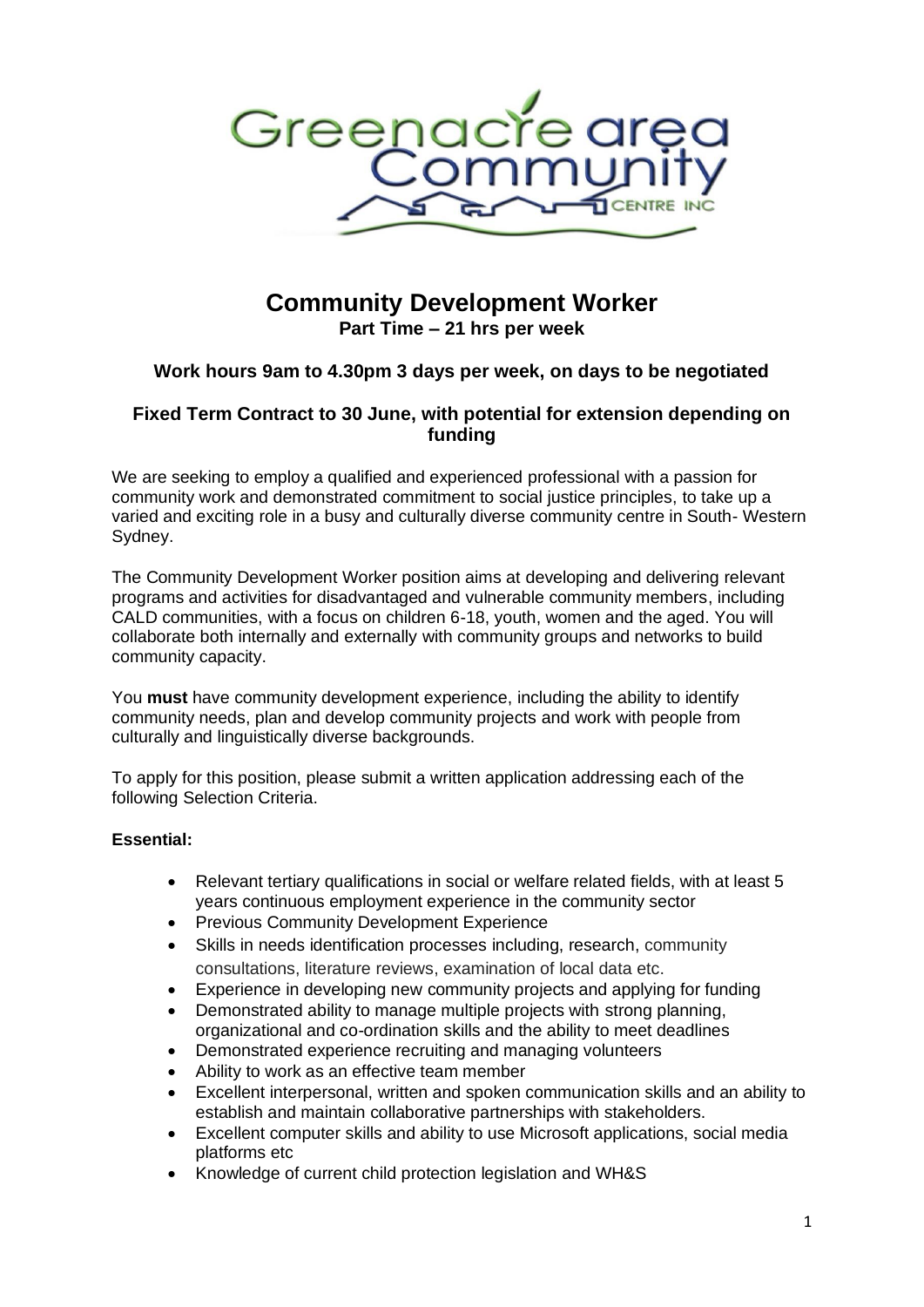

# **Community Development Worker Part Time – 21 hrs per week**

## **Work hours 9am to 4.30pm 3 days per week, on days to be negotiated**

## **Fixed Term Contract to 30 June, with potential for extension depending on funding**

We are seeking to employ a qualified and experienced professional with a passion for community work and demonstrated commitment to social justice principles, to take up a varied and exciting role in a busy and culturally diverse community centre in South- Western Sydney.

The Community Development Worker position aims at developing and delivering relevant programs and activities for disadvantaged and vulnerable community members, including CALD communities, with a focus on children 6-18, youth, women and the aged. You will collaborate both internally and externally with community groups and networks to build community capacity.

You **must** have community development experience, including the ability to identify community needs, plan and develop community projects and work with people from culturally and linguistically diverse backgrounds.

To apply for this position, please submit a written application addressing each of the following Selection Criteria.

### **Essential:**

- Relevant tertiary qualifications in social or welfare related fields, with at least 5 years continuous employment experience in the community sector
- Previous Community Development Experience
- Skills in needs identification processes including, research, community consultations, literature reviews, examination of local data etc.
- Experience in developing new community projects and applying for funding
- Demonstrated ability to manage multiple projects with strong planning, organizational and co-ordination skills and the ability to meet deadlines
- Demonstrated experience recruiting and managing volunteers
- Ability to work as an effective team member
- Excellent interpersonal, written and spoken communication skills and an ability to establish and maintain collaborative partnerships with stakeholders.
- Excellent computer skills and ability to use Microsoft applications, social media platforms etc
- Knowledge of current child protection legislation and WH&S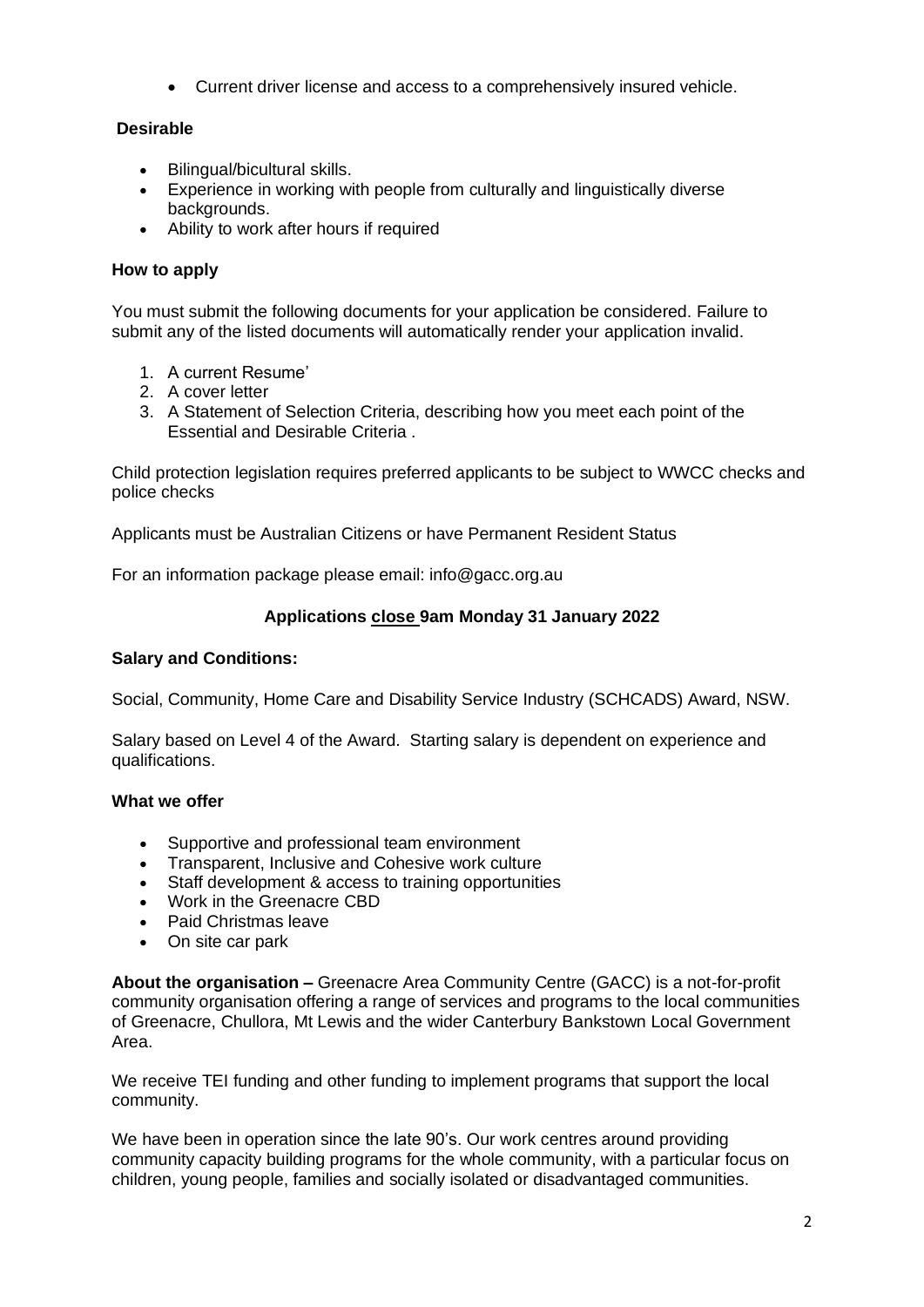• Current driver license and access to a comprehensively insured vehicle.

## **Desirable**

- Bilingual/bicultural skills.
- Experience in working with people from culturally and linguistically diverse backgrounds.
- Ability to work after hours if required

### **How to apply**

You must submit the following documents for your application be considered. Failure to submit any of the listed documents will automatically render your application invalid.

- 1. A current Resume'
- 2. A cover letter
- 3. A Statement of Selection Criteria, describing how you meet each point of the Essential and Desirable Criteria .

Child protection legislation requires preferred applicants to be subject to WWCC checks and police checks

Applicants must be Australian Citizens or have Permanent Resident Status

For an information package please email: info@gacc.org.au

### **Applications close 9am Monday 31 January 2022**

#### **Salary and Conditions:**

Social, Community, Home Care and Disability Service Industry (SCHCADS) Award, NSW.

Salary based on Level 4 of the Award. Starting salary is dependent on experience and qualifications.

#### **What we offer**

- 
- Supportive and professional team environment<br>• Transparent. Inclusive and Cohesive work culture • Transparent, Inclusive and Cohesive work culture
- Staff development & access to training opportunities
- Work in the Greenacre CBD
- Paid Christmas leave
- On site car park

**About the organisation –** Greenacre Area Community Centre (GACC) is a not-for-profit community organisation offering a range of services and programs to the local communities of Greenacre, Chullora, Mt Lewis and the wider Canterbury Bankstown Local Government Area.

We receive TEI funding and other funding to implement programs that support the local community.

We have been in operation since the late 90's. Our work centres around providing community capacity building programs for the whole community, with a particular focus on children, young people, families and socially isolated or disadvantaged communities.